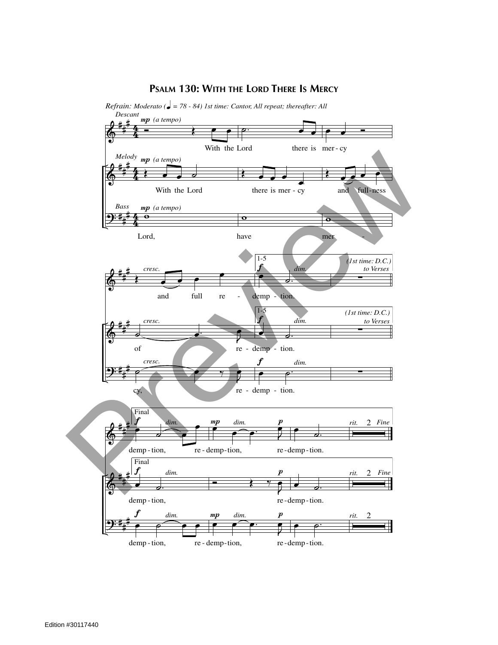## **PSALM 130: WITH THE LORD THERE IS MERCY**